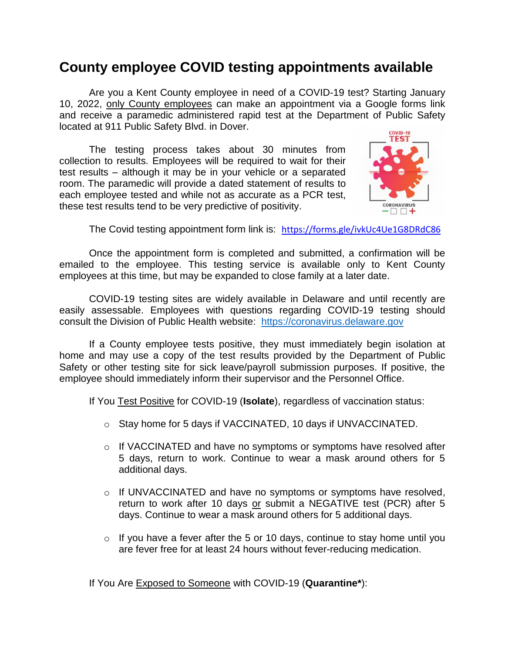## **County employee COVID testing appointments available**

Are you a Kent County employee in need of a COVID-19 test? Starting January 10, 2022, only County employees can make an appointment via a Google forms link and receive a paramedic administered rapid test at the Department of Public Safety located at 911 Public Safety Blvd. in Dover.

The testing process takes about 30 minutes from collection to results. Employees will be required to wait for their test results – although it may be in your vehicle or a separated room. The paramedic will provide a dated statement of results to each employee tested and while not as accurate as a PCR test, these test results tend to be very predictive of positivity.



The Covid testing appointment form link is: <https://forms.gle/ivkUc4Ue1G8DRdC86>

Once the appointment form is completed and submitted, a confirmation will be emailed to the employee. This testing service is available only to Kent County employees at this time, but may be expanded to close family at a later date.

COVID-19 testing sites are widely available in Delaware and until recently are easily assessable. Employees with questions regarding COVID-19 testing should consult the Division of Public Health website: [https://coronavirus.delaware.gov](https://coronavirus.delaware.gov/)

If a County employee tests positive, they must immediately begin isolation at home and may use a copy of the test results provided by the Department of Public Safety or other testing site for sick leave/payroll submission purposes. If positive, the employee should immediately inform their supervisor and the Personnel Office.

If You Test Positive for COVID-19 (**Isolate**), regardless of vaccination status:

- o Stay home for 5 days if VACCINATED, 10 days if UNVACCINATED.
- $\circ$  If VACCINATED and have no symptoms or symptoms have resolved after 5 days, return to work. Continue to wear a mask around others for 5 additional days.
- $\circ$  If UNVACCINATED and have no symptoms or symptoms have resolved, return to work after 10 days or submit a NEGATIVE test (PCR) after 5 days. Continue to wear a mask around others for 5 additional days.
- $\circ$  If you have a fever after the 5 or 10 days, continue to stay home until you are fever free for at least 24 hours without fever-reducing medication.

If You Are Exposed to Someone with COVID-19 (**Quarantine\***):